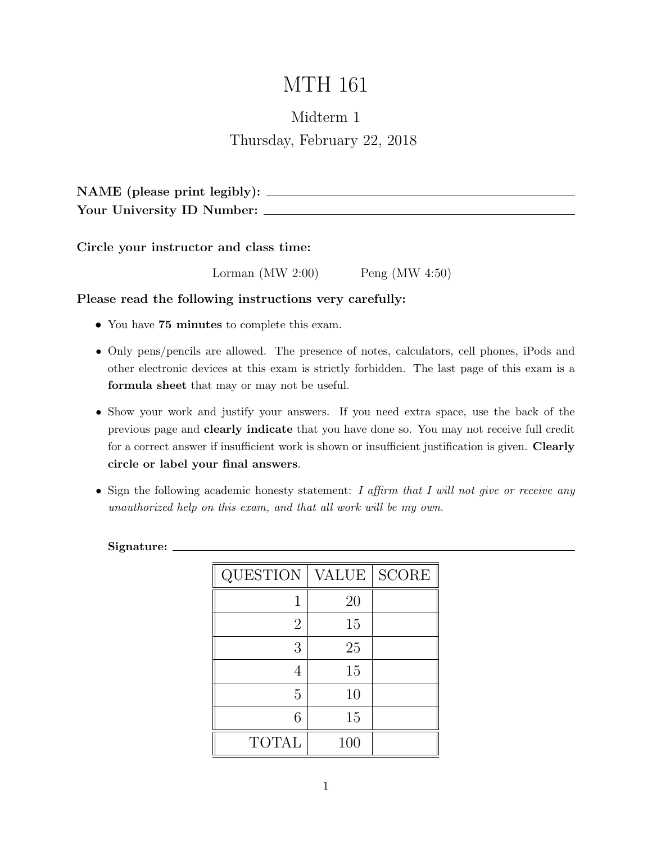# MTH 161

### Midterm 1 Thursday, February 22, 2018

NAME (please print legibly): Your University ID Number:

Circle your instructor and class time:

Lorman (MW 2:00) Peng (MW 4:50)

Please read the following instructions very carefully:

- You have 75 minutes to complete this exam.
- Only pens/pencils are allowed. The presence of notes, calculators, cell phones, iPods and other electronic devices at this exam is strictly forbidden. The last page of this exam is a formula sheet that may or may not be useful.
- Show your work and justify your answers. If you need extra space, use the back of the previous page and clearly indicate that you have done so. You may not receive full credit for a correct answer if insufficient work is shown or insufficient justification is given. **Clearly** circle or label your final answers.
- Sign the following academic honesty statement: I affirm that I will not give or receive any unauthorized help on this exam, and that all work will be my own.

Signature:

| <b>QUESTION</b> | <b>VALUE</b> | <b>SCORE</b> |
|-----------------|--------------|--------------|
|                 | 20           |              |
| $\overline{2}$  | 15           |              |
| 3               | 25           |              |
| 4               | 15           |              |
| 5               | 10           |              |
| 6               | 15           |              |
| <b>TOTAL</b>    | 100          |              |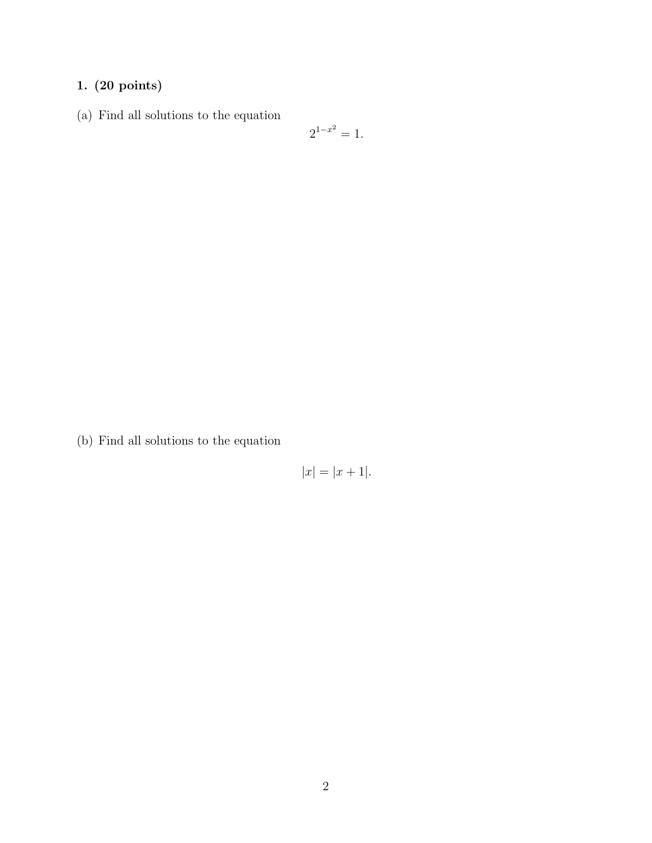### 1. (20 points)

(a) Find all solutions to the equation

$$
2^{1-x^2} = 1.
$$

(b) Find all solutions to the equation

$$
|x| = |x+1|.
$$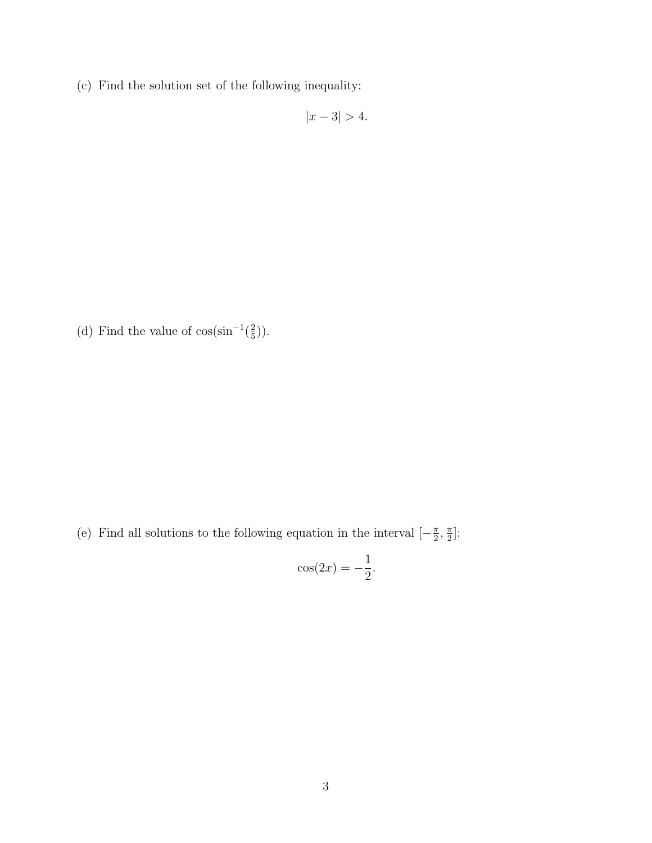(c) Find the solution set of the following inequality:

 $|x - 3| > 4.$ 

(d) Find the value of  $\cos(\sin^{-1}(\frac{2}{5}))$  $(\frac{2}{5})$ .

(e) Find all solutions to the following equation in the interval  $\left[-\frac{\pi}{2}\right]$  $\frac{\pi}{2}$ ,  $\frac{\pi}{2}$  $\frac{\pi}{2}$ :

$$
\cos(2x) = -\frac{1}{2}.
$$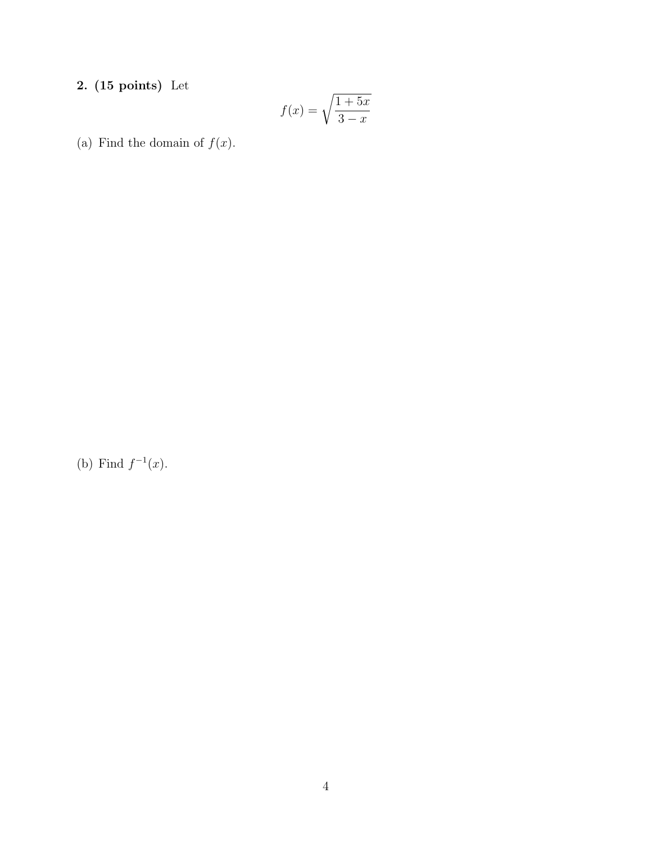### 2. (15 points) Let

$$
f(x) = \sqrt{\frac{1+5x}{3-x}}
$$

(a) Find the domain of  $f(x)$ .

(b) Find  $f^{-1}(x)$ .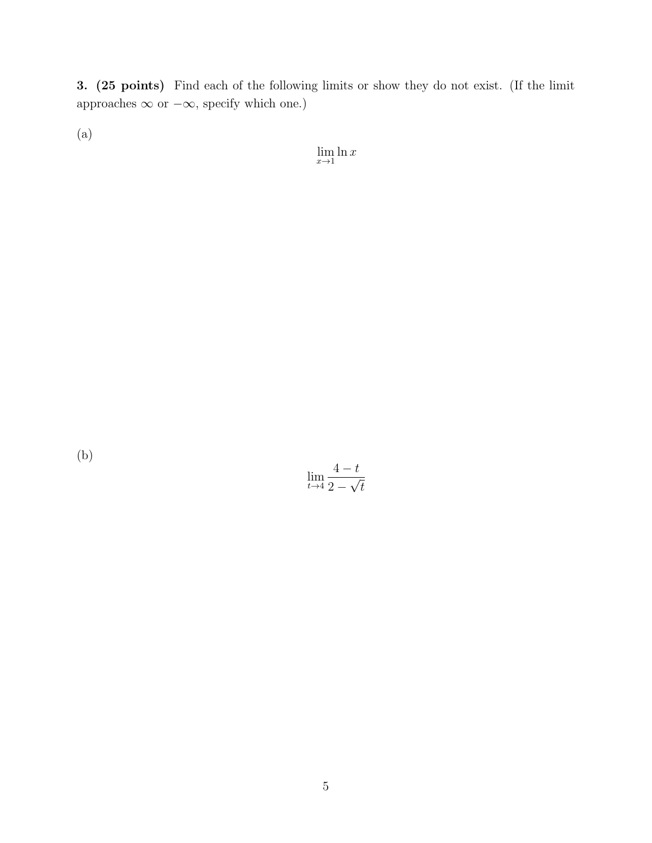3. (25 points) Find each of the following limits or show they do not exist. (If the limit approaches  $\infty$  or  $-\infty$ , specify which one.)

(a)

 $\lim_{x\to 1} \ln x$ 

(b)

$$
\lim_{t \to 4} \frac{4-t}{2 - \sqrt{t}}
$$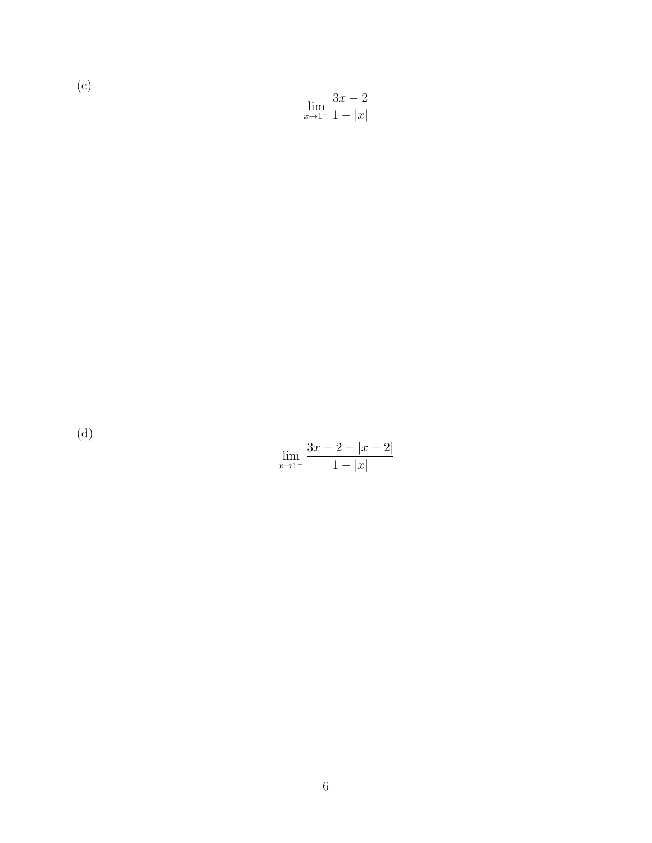(c) 
$$
\lim_{x \to 1^{-}} \frac{3x - 2}{1 - |x|}
$$

(d)

| um<br>$\cdot r$ . | 3X. |  |
|-------------------|-----|--|
|                   | x   |  |

| lim<br>$x \rightarrow 1^-$ | $3x-2- x-2 $ |
|----------------------------|--------------|
|                            | $1- x $      |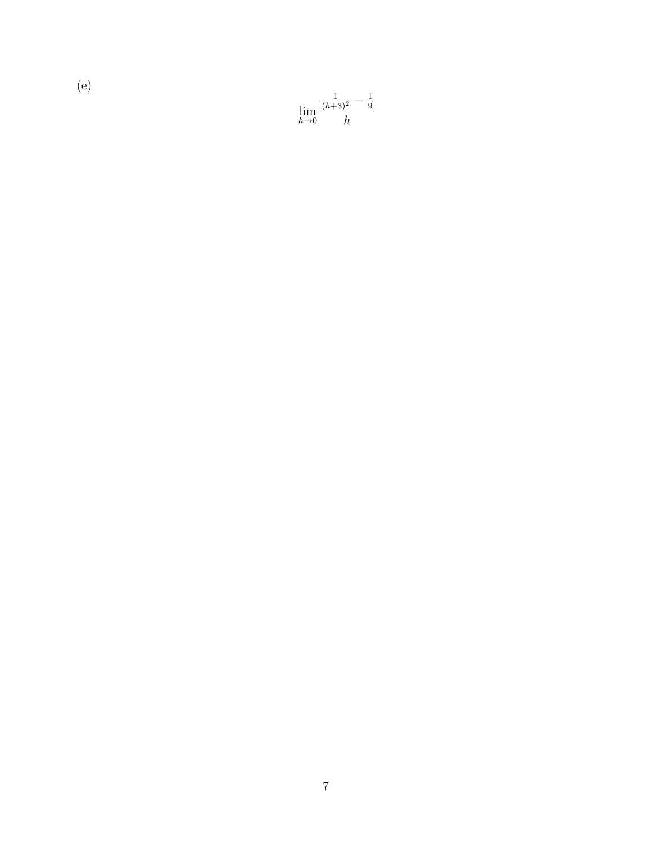$$
\lim_{h \to 0} \frac{\frac{1}{(h+3)^2} - \frac{1}{9}}{h}
$$

(e)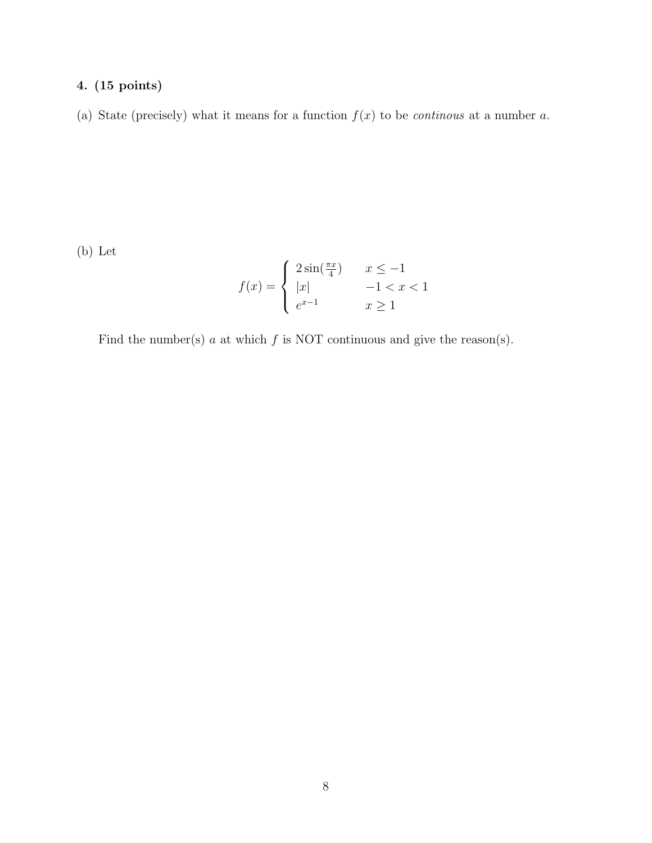#### 4. (15 points)

(a) State (precisely) what it means for a function  $f(x)$  to be *continous* at a number a.

(b) Let

$$
f(x) = \begin{cases} 2\sin(\frac{\pi x}{4}) & x \le -1 \\ |x| & -1 < x < 1 \\ e^{x-1} & x \ge 1 \end{cases}
$$

Find the number(s)  $a$  at which  $f$  is NOT continuous and give the reason(s).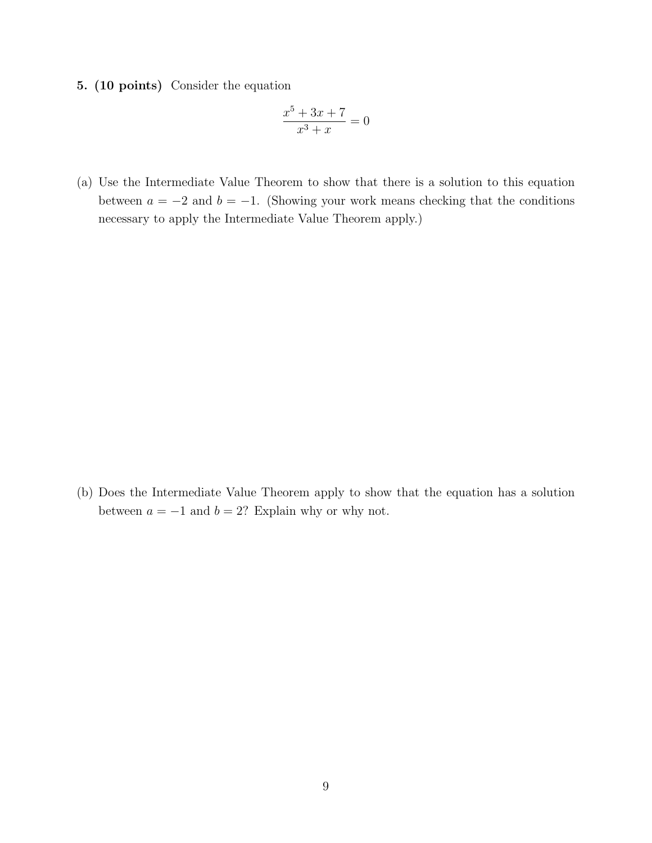5. (10 points) Consider the equation

$$
\frac{x^5 + 3x + 7}{x^3 + x} = 0
$$

(a) Use the Intermediate Value Theorem to show that there is a solution to this equation between  $a = -2$  and  $b = -1$ . (Showing your work means checking that the conditions necessary to apply the Intermediate Value Theorem apply.)

(b) Does the Intermediate Value Theorem apply to show that the equation has a solution between  $a = -1$  and  $b = 2$ ? Explain why or why not.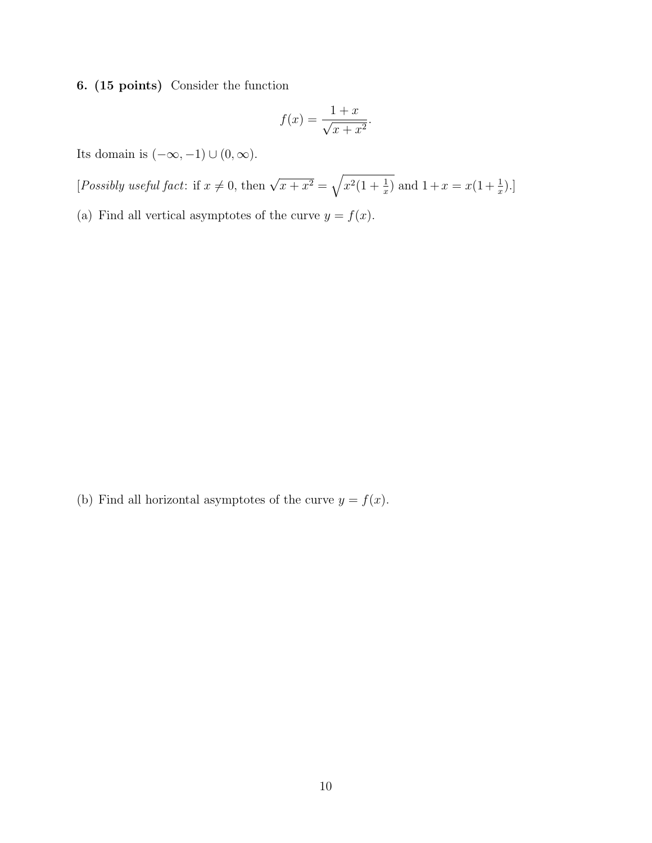6. (15 points) Consider the function

$$
f(x) = \frac{1+x}{\sqrt{x+x^2}}.
$$

Its domain is  $(-\infty, -1) \cup (0, \infty)$ .

[Possibly useful fact: if  $x \neq 0$ , then  $\sqrt{x + x^2} = \sqrt{x^2(1 + \frac{1}{x})}$  and  $1 + x = x(1 + \frac{1}{x})$ .]

(a) Find all vertical asymptotes of the curve  $y = f(x)$ .

(b) Find all horizontal asymptotes of the curve  $y = f(x)$ .